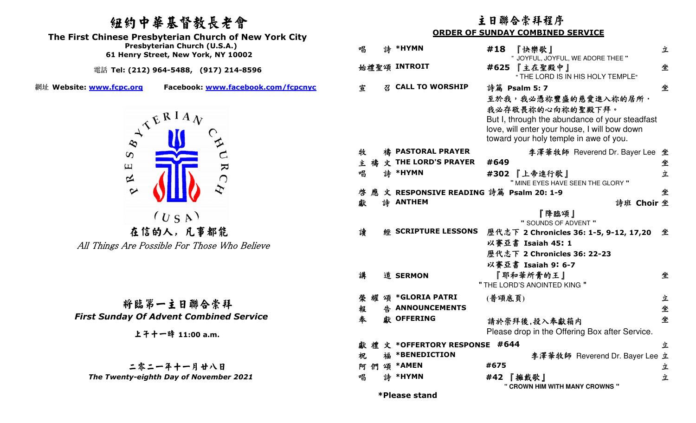## 紐約中華基督教長老會

  **Presbyterian Church (U.S.A.)The First Chinese Presbyterian Church of New York City** 

 **61 Henry Street, New York, NY 10002** 

電話 **Tel: (212) 964-5488, (917) 214-8596** 

網址 **Website: www.fcpc.org Facebook: www.facebook.com/fcpcnyc**



在信的人, 凡事都能All Things Are Possible For Those Who Believe

將臨第一主日聯合崇拜 *First Sunday Of Advent Combined Service* 

上午十一時 **11:00 a.m.**

 二零二一年十一月廿八日  *The Twenty-eighth Day of November 2021* 

|           |        |   |                                        | 主日聯合崇拜程序                                                                                                                                                                                              |   |
|-----------|--------|---|----------------------------------------|-------------------------------------------------------------------------------------------------------------------------------------------------------------------------------------------------------|---|
|           |        |   |                                        | <b>ORDER OF SUNDAY COMBINED SERVICE</b>                                                                                                                                                               |   |
|           | 唱      |   | 詩 *HYMN                                | #18<br>『快樂歌』<br>" JOYFUL, JOYFUL, WE ADORE THEE "                                                                                                                                                     | 立 |
|           |        |   | 始禮聖頌 INTROIT                           | #625 【主在聖殿中】<br>" THE LORD IS IN HIS HOLY TEMPLE"                                                                                                                                                     | 坐 |
| <u>VC</u> | 宣      |   | <b>CALL TO WORSHIP</b>                 | 詩篇 Psalm 5: 7<br>至於我,我必憑祢豐盛的慈愛進入祢的居所·<br>我必存敬畏祢的心向祢的聖殿下拜。<br>But I, through the abundance of your steadfast<br>love, will enter your house, I will bow down<br>toward your holy temple in awe of you. | 坐 |
|           | 牧      |   | 禱 PASTORAL PRAYER                      | 李澤華牧師 Reverend Dr. Bayer Lee                                                                                                                                                                          | 坐 |
|           |        |   | 主 禱 文 THE LORD'S PRAYER                | #649                                                                                                                                                                                                  | 坐 |
|           | 唱      |   | 詩 *HYMN                                | #302 『上帝進行歌』<br>" MINE EYES HAVE SEEN THE GLORY "                                                                                                                                                     | 立 |
|           | 啓      |   | 應文 RESPONSIVE READING 詩篇 Psalm 20: 1-9 |                                                                                                                                                                                                       | 坐 |
|           | 獻      |   | <b>詩 ANTHEM</b>                        | 詩班 Choir 坐                                                                                                                                                                                            |   |
|           |        |   |                                        | 『降臨頌』<br>" SOUNDS OF ADVENT "                                                                                                                                                                         |   |
|           | 讀      |   | <b>WE SCRIPTURE LESSONS</b>            | 歷代志下 2 Chronicles 36: 1-5, 9-12, 17,20                                                                                                                                                                | 坐 |
|           |        |   |                                        | 以賽亞書 Isaiah 45: 1                                                                                                                                                                                     |   |
|           |        |   |                                        | 歷代志下 2 Chronicles 36: 22-23                                                                                                                                                                           |   |
|           |        |   |                                        | 以賽亞書 Isaiah 9:6-7                                                                                                                                                                                     |   |
|           | 講      |   | 道 SERMON                               | 『耶和華所膏的王』                                                                                                                                                                                             | 坐 |
|           |        |   |                                        | " THE LORD'S ANOINTED KING "                                                                                                                                                                          |   |
|           | 榮耀頌    |   | *GLORIA PATRI                          | (普頌底頁)                                                                                                                                                                                                | 立 |
|           | 報      | 告 | <b>ANNOUNCEMENTS</b>                   |                                                                                                                                                                                                       | 坐 |
|           | 奉      |   | 獻 OFFERING                             | 請於崇拜後,投入奉獻箱内                                                                                                                                                                                          | 坐 |
|           |        |   |                                        | Please drop in the Offering Box after Service.                                                                                                                                                        |   |
|           |        |   | 獻禮文 *OFFERTORY RESPONSE                | #644                                                                                                                                                                                                  | 立 |
|           | 祝      |   | 福 *BENEDICTION                         | 李澤華牧師 Reverend Dr. Bayer Lee                                                                                                                                                                          | 立 |
|           | 阿<br>們 | 頌 | <b>*AMEN</b>                           | #675                                                                                                                                                                                                  | 立 |
|           | 唱      |   | 詩 *HYMN                                | #42 「擁戴歌」<br>" CROWN HIM WITH MANY CROWNS "                                                                                                                                                           | 立 |
|           |        |   | *Please stand                          |                                                                                                                                                                                                       |   |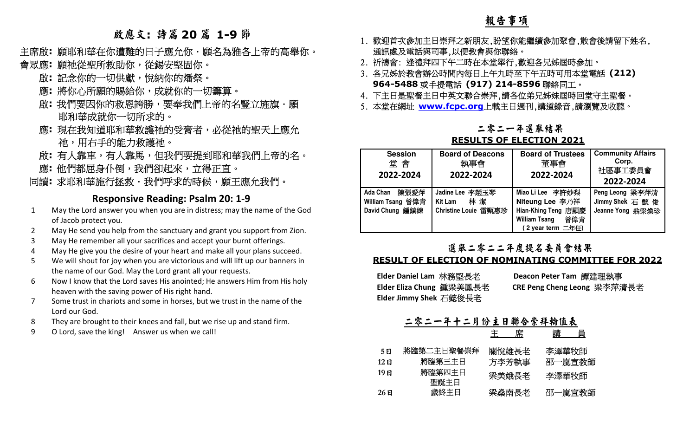### 報告事項

# 啟應文**:** 詩篇 **<sup>20</sup>** <sup>篇</sup> **1-9** <sup>節</sup>

- 主席啟**:** 願耶和華在你遭難的日子應允你.願名為雅各上帝的高舉你。
- 會眾應**:** 願祂從聖所救助你,從錫安堅固你。
	- 啟**:** 記念你的一切供獻,悅納你的燔祭。
	- 應: 將你心所願的賜給你,成就你的一切籌算。
	- 啟: 我們要因你的救恩誇勝,要奉我們上帝的名豎立旌旗·願
	- 耶和華成就你一切所求的。<br>應: 現在我知道耶和華救護祂的受膏者,必從祂的聖天上應允<br>祂: 現在手的能力救護祂。<br>啟: 有人靠車,有人靠馬,但我們要提到耶和華我們上帝的名。<br>應: 他們都屈身仆倒,我們卻起來,立得正直。
	-
	-
	- 應: 他們都屈身仆倒,我們卻起來,立得正直。<br>同<mark>讀:</mark> 求耶和華施行拯救.我們呼求的時候,願王應允我們。

#### **Responsive Reading: Psalm 20: 1-9**

- 1 May the Lord answer you when you are in distress; may the name of the God of Jacob protect you.
- 2 May He send you help from the sanctuary and grant you support from Zion.
- 3 May He remember all your sacrifices and accept your burnt offerings.
- 4 May He give you the desire of your heart and make all your plans succeed.
- 5 We will shout for joy when you are victorious and will lift up our banners in the name of our God. May the Lord grant all your requests.
- 6 Now I know that the Lord saves His anointed; He answers Him from His holy heaven with the saving power of His right hand.
- 7 Some trust in chariots and some in horses, but we trust in the name of the Lord our God.
- 8 They are brought to their knees and fall, but we rise up and stand firm.
- 9 O Lord, save the king! Answer us when we call!
- 1. 歡迎首次參加主日崇拜之新朋友,盼望你能繼續參加聚會,散會後請留下姓名, 通訊處及電話與司事,以便教會與你聯絡。
- 2. 祈禱會: 逢禮拜四下午二時在本堂舉行,歡迎各兄姊屆時參加。
- 3. 各兄姊於教會辦公時間內每日上午九時至下午五時可用本堂電話 **(212) 964-5488 或手提電話 (917) 214-8596 聯絡同工。**
- 4. 下主日是聖餐主日中英文聯合崇拜,請各位弟兄姊妹屆時回堂守主聖餐。
- 下主日是聖餐主日中英文聯合崇拜,請各位弟兄姊妹屆時回堂守主聖餐。 5. 本堂在網址 **www.fcpc.org**上載主日週刊,講道錄音,請瀏覽及收聽。

### 二零二一年選舉結果

#### **RESULTS OF ELECTION 2021**

| <b>Session</b><br>堂會<br>2022-2024                        | <b>Board of Deacons</b><br>執事會<br>2022-2024                      | <b>Board of Trustees</b><br>董事會<br>2022-2024                                                                   | <b>Community Affairs</b><br>Corp.<br>社區事工委員會<br>2022-2024 |
|----------------------------------------------------------|------------------------------------------------------------------|----------------------------------------------------------------------------------------------------------------|-----------------------------------------------------------|
| 陳張愛萍<br>Ada Chan<br>William Tsang 曾偉青<br>David Chung 鍾鎮練 | Jadine Lee 李趙玉琴<br>林 潔<br><b>Kit Lam</b><br>Christine Louie 雷甄惠珍 | Miao Li Lee 李許妙梨<br>Niteung Lee 李乃祥<br>Hian-Khing Teng 唐顯慶<br><b>William Tsang</b><br>曾偉青<br>(2 year term 二年任) | Peng Leong 梁李萍清<br>Jimmy Shek 石 懿 俊<br>Jeanne Yong 翁梁煥珍   |

#### 選舉二零二二年度提名委員會結果

#### **RESULT OF ELECTION OF NOMINATING COMMITTEE FOR 2022**

| Elder Daniel Lam 林務堅長老   | Deacon Peter Tam 譚建理執事      |
|--------------------------|-----------------------------|
| Elder Eliza Chung 鍾梁美鳳長老 | CRE Peng Cheng Leong 梁李萍清長老 |
| Elder Jimmy Shek 石懿俊長老   |                             |

|  |  |  | 二零二一年十二月份主日聯合崇拜輪值表 |  |
|--|--|--|--------------------|--|
|  |  |  |                    |  |

|      |                | 席<br>主 | 講<br>員 |
|------|----------------|--------|--------|
| 5 E  | 將臨第二主日聖餐崇拜     | 關悅雄長老  | 李澤華牧師  |
| 12 E | 將臨第三主日         | 方李芳執事  | 邵一嵐宣教師 |
| 19日  | 將臨第四主日<br>聖誕主日 | 梁美娥長老  | 李澤華牧師  |
| 26 E | 歲終主日           | 梁燊南長老  | 邵一嵐宣教師 |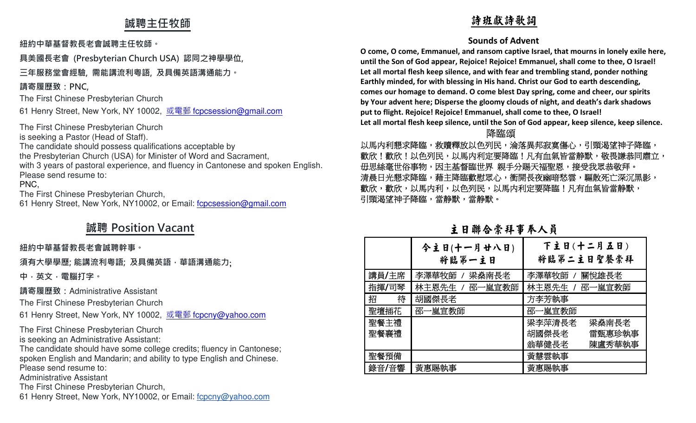### **誠聘主任牧師**

#### **紐約中華基督教⻑老會誠聘主任牧師。**

**具美國⻑老會 (Presbyterian Church USA) 認同之神學學位,** 

### **三年服務堂會經驗, 需能講流利粵語, 及具備英語溝通能力。**

### **請寄履歷致:PNC,**

The First Chinese Presbyterian Church

61 Henry Street, New York, NY 10002, <u>或電郵 f<mark>cpcsession@gmail.com</mark></u>

The First Chinese Presbyterian Church is seeking a Pastor (Head of Staff). The candidate should possess qualifications acceptable by the Presbyterian Church (USA) for Minister of Word and Sacrament, with 3 years of pastoral experience, and fluency in Cantonese and spoken English.Please send resume to: PNC,

The First Chinese Presbyterian Church,

61 Henry Street, New York, NY10002, or Email: fcpcsession@gmail.com

### **誠聘 Position Vacant**

### **紐約中華基督教⻑老會誠聘幹事。**

**須有大學學歷; 能講流利粵語; 及具備英語,華語溝通能力**;

**中,英文,電腦打字。**

**請寄履歷致:**Administrative Assistant

The First Chinese Presbyterian Church

61 Henry Street, New York, NY 10002, <u>或電郵 fcpcny@yahoo.com</u>

The First Chinese Presbyterian Church is seeking an Administrative Assistant:

 The candidate should have some college credits; fluency in Cantonese; spoken English and Mandarin; and ability to type English and Chinese.Please send resume to:

Administrative Assistant

The First Chinese Presbyterian Church,

61 Henry Street, New York, NY10002, or Email: fcpcny@yahoo.com

### 詩班獻詩歌詞

#### **Sounds of Advent**

**O come, O come, Emmanuel, and ransom captive Israel, that mourns in lonely exile here, until the Son of God appear, Rejoice! Rejoice! Emmanuel, shall come to thee, O Israel! Let all mortal flesh keep silence, and with fear and trembling stand, ponder nothing Earthly minded, for with blessing in His hand. Christ our God to earth descending, comes our homage to demand. O come blest Day spring, come and cheer, our spirits by Your advent here; Disperse the gloomy clouds of night, and death's dark shadows put to flight. Rejoice! Rejoice! Emmanuel, shall come to thee, O Israel! Let all mortal flesh keep silence, until the Son of God appear, keep silence, keep silence.** 

#### 医血管 医血管 医血管 医心理学 医心理学 医心理学 医心理学 医心理学 医心理学 臨頌

以馬内利懇求降臨,救贖釋放以色列民,淪落異邦寂寞傷心,引頸渴望神子降臨, 歡欣!歡欣!以色列民,以馬内利定要降臨!凡有血氣皆當静默,敬畏謙恭同肅立, 毋思絲毫世俗事物,因主基督臨世界 親手分賜天福聖恩,接受我眾恭敬拜。 清晨日光懇求降臨,藉主降臨歡慰眾心,衝開長夜幽暗愁雲,驅散死亡深沉黑影, 歡欣,歡欣,以馬内利民,以馬内利定要降臨!凡有血氣皆當静默, 引頸渴望神子降臨,當静默,當静默。

### 主日聯合崇拜事奉人員

|        | 今主日(十一月廿八日)<br>将臨第一主日 | 下主日(十二月五日)<br>将臨第二主日聖餐崇拜 |
|--------|-----------------------|--------------------------|
| 講員/主席  | 李澤華牧師 / 梁桑南長老         | 李澤華牧師 /<br>關悅雄長老         |
| 指揮/司琴  | 林主恩先生 / 邵一嵐宣教師        | 林主恩先生 / 邵一嵐宣教師           |
| 待<br>招 | 胡國傑長老                 | 方李芳執事                    |
| 聖壇插花   | 邵一嵐宣教師                | 邵一嵐宣教師                   |
| 聖餐主禮   |                       | 梁李萍清長老<br>梁燊南長老          |
| 聖餐襄禮   |                       | 胡國傑長老<br>雷甄惠珍執事          |
|        |                       | 陳盧秀華執事<br>翁華健長老          |
| 聖餐預備   |                       | 黃慧雲執事                    |
| 錄音/音響  | 黃惠賜執事                 | 黃惠賜執事                    |